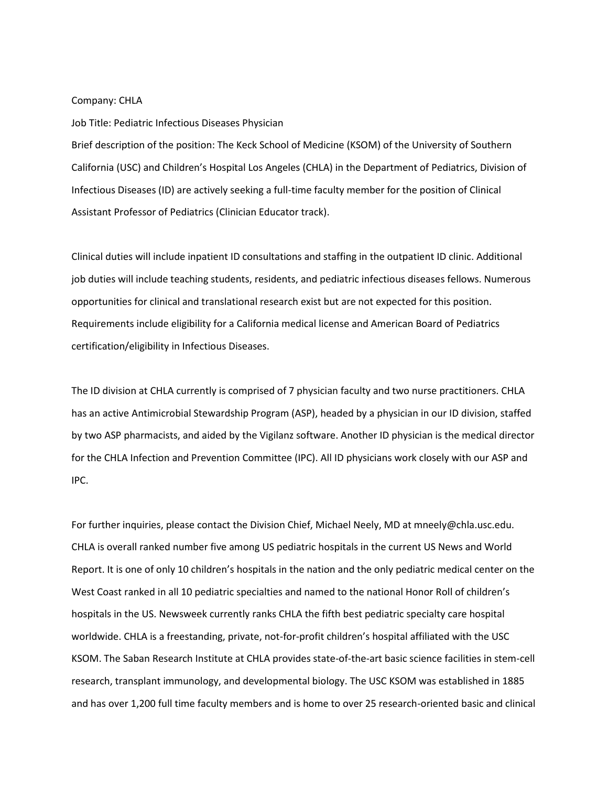## Company: CHLA

## Job Title: Pediatric Infectious Diseases Physician

Brief description of the position: The Keck School of Medicine (KSOM) of the University of Southern California (USC) and Children's Hospital Los Angeles (CHLA) in the Department of Pediatrics, Division of Infectious Diseases (ID) are actively seeking a full-time faculty member for the position of Clinical Assistant Professor of Pediatrics (Clinician Educator track).

Clinical duties will include inpatient ID consultations and staffing in the outpatient ID clinic. Additional job duties will include teaching students, residents, and pediatric infectious diseases fellows. Numerous opportunities for clinical and translational research exist but are not expected for this position. Requirements include eligibility for a California medical license and American Board of Pediatrics certification/eligibility in Infectious Diseases.

The ID division at CHLA currently is comprised of 7 physician faculty and two nurse practitioners. CHLA has an active Antimicrobial Stewardship Program (ASP), headed by a physician in our ID division, staffed by two ASP pharmacists, and aided by the Vigilanz software. Another ID physician is the medical director for the CHLA Infection and Prevention Committee (IPC). All ID physicians work closely with our ASP and IPC.

For further inquiries, please contact the Division Chief, Michael Neely, MD at mneely@chla.usc.edu. CHLA is overall ranked number five among US pediatric hospitals in the current US News and World Report. It is one of only 10 children's hospitals in the nation and the only pediatric medical center on the West Coast ranked in all 10 pediatric specialties and named to the national Honor Roll of children's hospitals in the US. Newsweek currently ranks CHLA the fifth best pediatric specialty care hospital worldwide. CHLA is a freestanding, private, not-for-profit children's hospital affiliated with the USC KSOM. The Saban Research Institute at CHLA provides state-of-the-art basic science facilities in stem-cell research, transplant immunology, and developmental biology. The USC KSOM was established in 1885 and has over 1,200 full time faculty members and is home to over 25 research-oriented basic and clinical